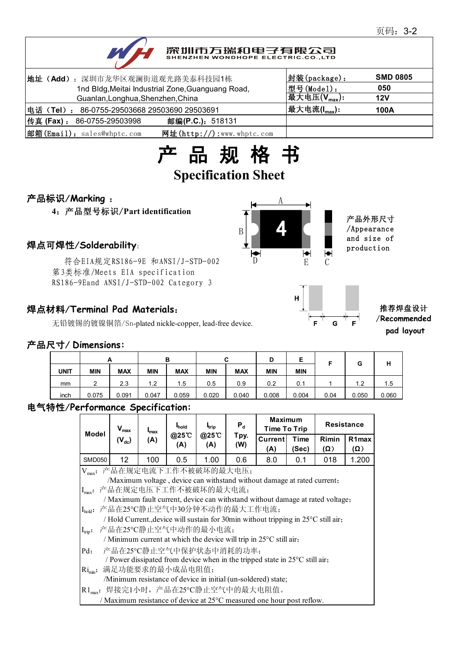# 深圳市万瑞和电子有限公司

| 地址(Add): 深圳市龙华区观澜街道观光路美泰科技园1栋                               | 封装(package):                         | <b>SMD 0805</b> |
|-------------------------------------------------------------|--------------------------------------|-----------------|
| 1nd Bldg, Meitai Industrial Zone, Guanguang Road,           | 型号(Model):                           | 050             |
| Guanlan, Longhua, Shenzhen, China                           | 最大电压 $(\overline{V_{\text{max}}})$ : | 12V             |
| 电话(Tel): 86-0755-29503668 29503690 29503691                 | 最大电流( $I_{max}$ ):                   | 100A            |
| 传真 (Fax) : 86-0755-29503998<br>邮编(P.C.): 518131             |                                      |                 |
| 邮箱(Email): sales@whptc.com<br>网址( $http://$ ):www.whptc.com |                                      |                 |



# 产品标识/**Marking** :

**4**:产品型号标识/**Part identification**

符合EIA规定RS186-9E 和ANSI/J-STD-002 第3类标准/Meets EIA specification RS186-9Eand ANSI/J-STD-002 Category 3

### 焊点材料/**Terminal Pad Materials**:

无铅镀锡的镀镍铜箔/Sn-plated nickle-copper, lead-free device.





#### 推荐焊盘设计 /**Recommended pad layout**

#### 产品尺寸/ **Dimensions:**

|             |               | A          |            | в          |            | ~          | D          | E          |      | G     | н     |
|-------------|---------------|------------|------------|------------|------------|------------|------------|------------|------|-------|-------|
| <b>UNIT</b> | <b>MIN</b>    | <b>MAX</b> | <b>MIN</b> | <b>MAX</b> | <b>MIN</b> | <b>MAX</b> | <b>MIN</b> | <b>MIN</b> |      |       |       |
| mm          | າ<br><u>.</u> | 2.3        | 1.2        | 1.5        | 0.5        | 0.9        | 0.2        | 0.1        |      | 1.2   | 1.5   |
| inch        | 0.075         | 0.091      | 0.047      | 0.059      | 0.020      | 0.040      | 0.008      | 0.004      | 0.04 | 0.050 | 0.060 |

#### 电气特性/**Performance Specification:**

| Model                                                                          | $V_{\text{max}}$                                                                   | $I_{\text{max}}$<br>(A) | <b>I</b> hold<br>@25°C<br>(A) | <b>I</b> <sub>trip</sub><br>@25 C<br>(A) | $P_d$<br>Tpy.<br>(W) | <b>Maximum</b><br>Time To Trip |               | <b>Resistance</b>   |                           |  |
|--------------------------------------------------------------------------------|------------------------------------------------------------------------------------|-------------------------|-------------------------------|------------------------------------------|----------------------|--------------------------------|---------------|---------------------|---------------------------|--|
|                                                                                | $(V_{dc})$                                                                         |                         |                               |                                          |                      | Current<br>(A)                 | Time<br>(Sec) | Rimin<br>$(\Omega)$ | R <sub>1</sub> max<br>(Ω) |  |
| <b>SMD050</b>                                                                  | $12 \overline{ }$                                                                  | 100                     | 0.5                           | 1.00                                     | 0.6                  | 8.0                            | 0.1           | 018                 | 1.200                     |  |
| Vmax: 产品在规定电流下工作不被破坏的最大电压;                                                     |                                                                                    |                         |                               |                                          |                      |                                |               |                     |                           |  |
| /Maximum voltage, device can withstand without damage at rated current;        |                                                                                    |                         |                               |                                          |                      |                                |               |                     |                           |  |
|                                                                                | Imax: 产品在规定电压下工作不被破坏的最大电流;                                                         |                         |                               |                                          |                      |                                |               |                     |                           |  |
| / Maximum fault current, device can withstand without damage at rated voltage; |                                                                                    |                         |                               |                                          |                      |                                |               |                     |                           |  |
|                                                                                | Ihold: 产品在25℃静止空气中30分钟不动作的最大工作电流;                                                  |                         |                               |                                          |                      |                                |               |                     |                           |  |
|                                                                                | / Hold Current., device will sustain for 30min without tripping in 25°C still air, |                         |                               |                                          |                      |                                |               |                     |                           |  |
| $I_{trip}$ :                                                                   | 产品在25℃静止空气中动作的最小电流;                                                                |                         |                               |                                          |                      |                                |               |                     |                           |  |
|                                                                                | / Minimum current at which the device will trip in $25^{\circ}$ C still air,       |                         |                               |                                          |                      |                                |               |                     |                           |  |
| $Pd$ :                                                                         | 产品在25℃静止空气中保护状态中消耗的功率;                                                             |                         |                               |                                          |                      |                                |               |                     |                           |  |
|                                                                                | / Power dissipated from device when in the tripped state in 25°C still air,        |                         |                               |                                          |                      |                                |               |                     |                           |  |
| $\text{Ri}_{\text{min}}$ :                                                     | 满足功能要求的最小成品电阻值;                                                                    |                         |                               |                                          |                      |                                |               |                     |                           |  |
|                                                                                | /Minimum resistance of device in initial (un-soldered) state;                      |                         |                               |                                          |                      |                                |               |                     |                           |  |
|                                                                                | R1 <sub>max</sub> : 焊接完1小时, 产品在25℃静止空气中的最大电阻值。                                     |                         |                               |                                          |                      |                                |               |                     |                           |  |
|                                                                                | / Maximum resistance of device at 25 <sup>o</sup> C measured one hour post reflow. |                         |                               |                                          |                      |                                |               |                     |                           |  |